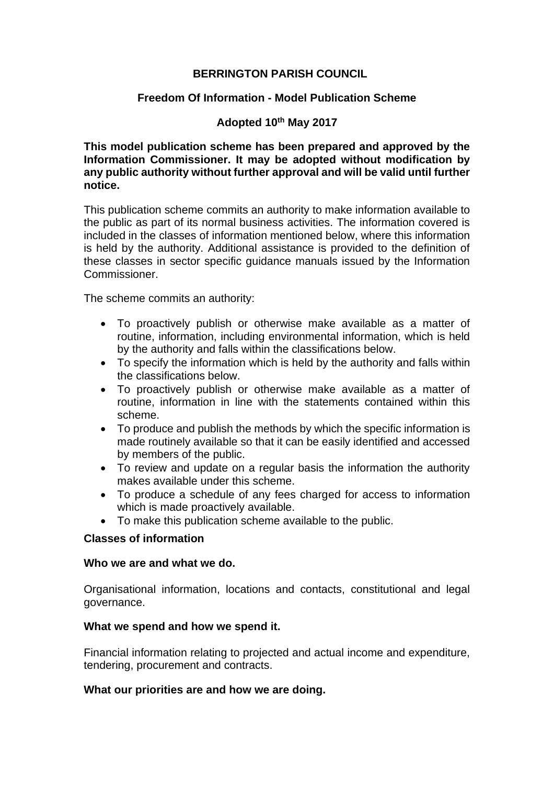# **BERRINGTON PARISH COUNCIL**

# **Freedom Of Information - Model Publication Scheme**

# **Adopted 10th May 2017**

**This model publication scheme has been prepared and approved by the Information Commissioner. It may be adopted without modification by any public authority without further approval and will be valid until further notice.**

This publication scheme commits an authority to make information available to the public as part of its normal business activities. The information covered is included in the classes of information mentioned below, where this information is held by the authority. Additional assistance is provided to the definition of these classes in sector specific guidance manuals issued by the Information Commissioner.

The scheme commits an authority:

- To proactively publish or otherwise make available as a matter of routine, information, including environmental information, which is held by the authority and falls within the classifications below.
- To specify the information which is held by the authority and falls within the classifications below.
- To proactively publish or otherwise make available as a matter of routine, information in line with the statements contained within this scheme.
- To produce and publish the methods by which the specific information is made routinely available so that it can be easily identified and accessed by members of the public.
- To review and update on a regular basis the information the authority makes available under this scheme.
- To produce a schedule of any fees charged for access to information which is made proactively available.
- To make this publication scheme available to the public.

### **Classes of information**

### **Who we are and what we do.**

Organisational information, locations and contacts, constitutional and legal governance.

### **What we spend and how we spend it.**

Financial information relating to projected and actual income and expenditure, tendering, procurement and contracts.

### **What our priorities are and how we are doing.**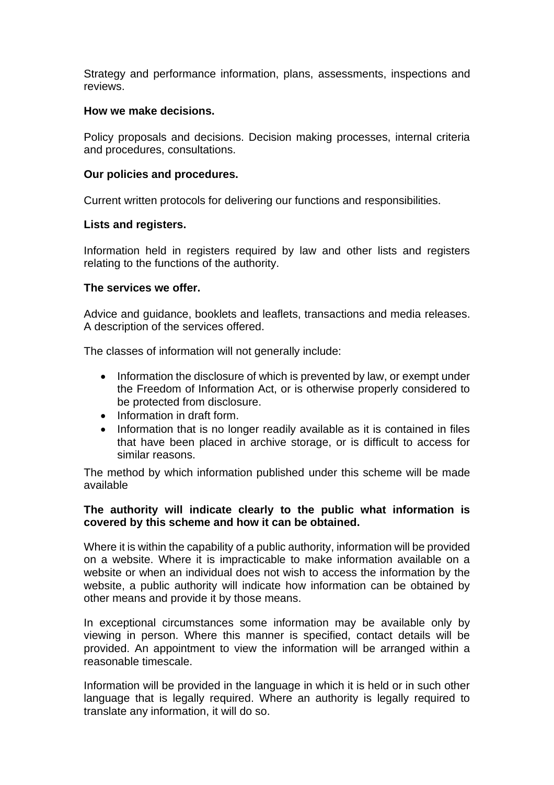Strategy and performance information, plans, assessments, inspections and reviews.

## **How we make decisions.**

Policy proposals and decisions. Decision making processes, internal criteria and procedures, consultations.

# **Our policies and procedures.**

Current written protocols for delivering our functions and responsibilities.

# **Lists and registers.**

Information held in registers required by law and other lists and registers relating to the functions of the authority.

# **The services we offer.**

Advice and guidance, booklets and leaflets, transactions and media releases. A description of the services offered.

The classes of information will not generally include:

- Information the disclosure of which is prevented by law, or exempt under the Freedom of Information Act, or is otherwise properly considered to be protected from disclosure.
- Information in draft form.
- Information that is no longer readily available as it is contained in files that have been placed in archive storage, or is difficult to access for similar reasons.

The method by which information published under this scheme will be made available

# **The authority will indicate clearly to the public what information is covered by this scheme and how it can be obtained.**

Where it is within the capability of a public authority, information will be provided on a website. Where it is impracticable to make information available on a website or when an individual does not wish to access the information by the website, a public authority will indicate how information can be obtained by other means and provide it by those means.

In exceptional circumstances some information may be available only by viewing in person. Where this manner is specified, contact details will be provided. An appointment to view the information will be arranged within a reasonable timescale.

Information will be provided in the language in which it is held or in such other language that is legally required. Where an authority is legally required to translate any information, it will do so.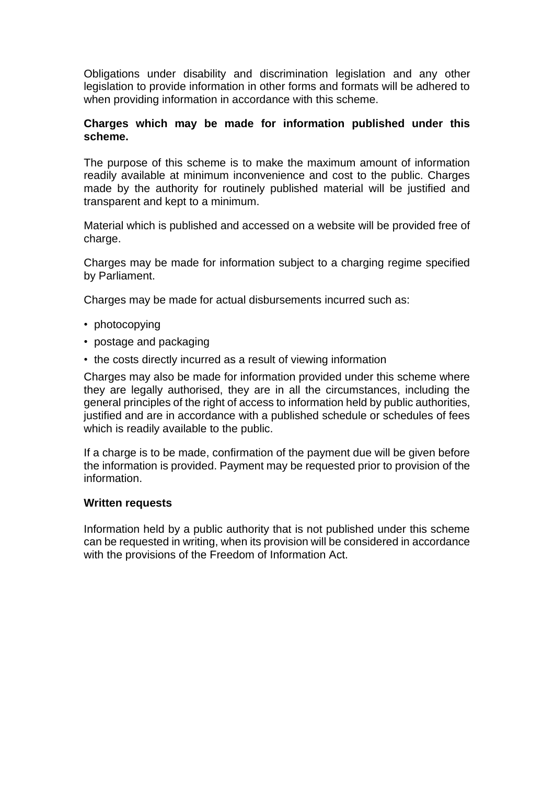Obligations under disability and discrimination legislation and any other legislation to provide information in other forms and formats will be adhered to when providing information in accordance with this scheme.

# **Charges which may be made for information published under this scheme.**

The purpose of this scheme is to make the maximum amount of information readily available at minimum inconvenience and cost to the public. Charges made by the authority for routinely published material will be justified and transparent and kept to a minimum.

Material which is published and accessed on a website will be provided free of charge.

Charges may be made for information subject to a charging regime specified by Parliament.

Charges may be made for actual disbursements incurred such as:

- photocopying
- postage and packaging
- the costs directly incurred as a result of viewing information

Charges may also be made for information provided under this scheme where they are legally authorised, they are in all the circumstances, including the general principles of the right of access to information held by public authorities, justified and are in accordance with a published schedule or schedules of fees which is readily available to the public.

If a charge is to be made, confirmation of the payment due will be given before the information is provided. Payment may be requested prior to provision of the information.

### **Written requests**

Information held by a public authority that is not published under this scheme can be requested in writing, when its provision will be considered in accordance with the provisions of the Freedom of Information Act.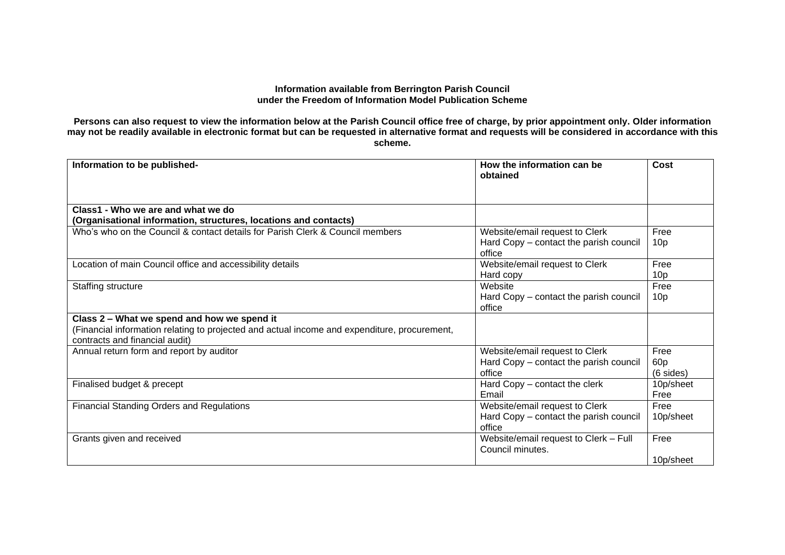#### **Information available from Berrington Parish Council under the Freedom of Information Model Publication Scheme**

**Persons can also request to view the information below at the Parish Council office free of charge, by prior appointment only. Older information may not be readily available in electronic format but can be requested in alternative format and requests will be considered in accordance with this scheme.**

| Information to be published-                                                                                                   | How the information can be<br>obtained                    | Cost                |
|--------------------------------------------------------------------------------------------------------------------------------|-----------------------------------------------------------|---------------------|
| Class1 - Who we are and what we do                                                                                             |                                                           |                     |
| (Organisational information, structures, locations and contacts)                                                               |                                                           |                     |
| Who's who on the Council & contact details for Parish Clerk & Council members                                                  | Website/email request to Clerk                            | Free                |
|                                                                                                                                | Hard Copy – contact the parish council<br>office          | 10 <sub>p</sub>     |
| Location of main Council office and accessibility details                                                                      | Website/email request to Clerk                            | Free                |
|                                                                                                                                | Hard copy                                                 | 10 <sub>p</sub>     |
| Staffing structure                                                                                                             | Website                                                   | Free                |
|                                                                                                                                | Hard Copy - contact the parish council                    | 10 <sub>p</sub>     |
|                                                                                                                                | office                                                    |                     |
| Class 2 - What we spend and how we spend it                                                                                    |                                                           |                     |
| (Financial information relating to projected and actual income and expenditure, procurement,<br>contracts and financial audit) |                                                           |                     |
| Annual return form and report by auditor                                                                                       | Website/email request to Clerk                            | Free                |
|                                                                                                                                | Hard Copy - contact the parish council                    | 60 <sub>p</sub>     |
|                                                                                                                                | office                                                    | $(6 \text{ sides})$ |
| Finalised budget & precept                                                                                                     | Hard Copy – contact the clerk                             | 10p/sheet           |
|                                                                                                                                | Email                                                     | Free                |
| <b>Financial Standing Orders and Regulations</b>                                                                               | Website/email request to Clerk                            | Free                |
|                                                                                                                                | Hard Copy - contact the parish council                    | 10p/sheet           |
|                                                                                                                                | office                                                    |                     |
| Grants given and received                                                                                                      | Website/email request to Clerk - Full<br>Council minutes. | Free                |
|                                                                                                                                |                                                           | 10p/sheet           |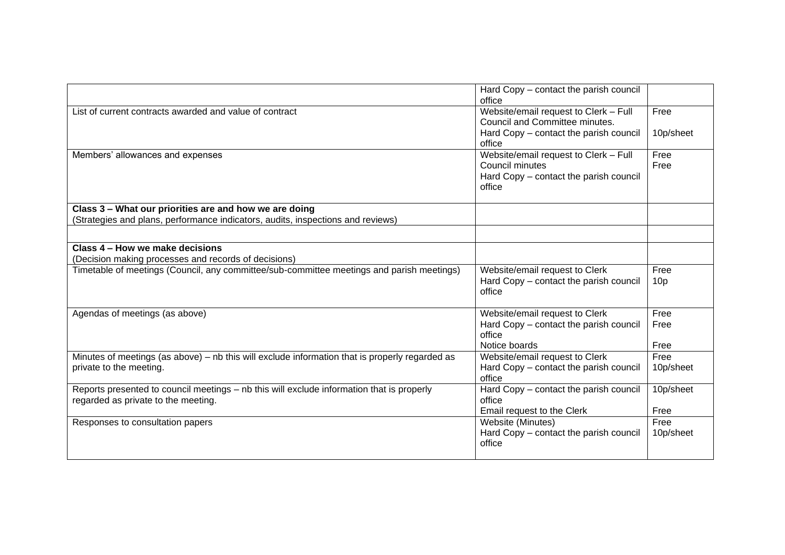|                                                                                                | Hard Copy - contact the parish council<br>office |                 |
|------------------------------------------------------------------------------------------------|--------------------------------------------------|-----------------|
| List of current contracts awarded and value of contract                                        | Website/email request to Clerk - Full            | Free            |
|                                                                                                | Council and Committee minutes.                   |                 |
|                                                                                                | Hard Copy - contact the parish council           | 10p/sheet       |
|                                                                                                | office                                           |                 |
| Members' allowances and expenses                                                               | Website/email request to Clerk - Full            | Free            |
|                                                                                                | Council minutes                                  | Free            |
|                                                                                                | Hard Copy - contact the parish council           |                 |
|                                                                                                | office                                           |                 |
| Class 3 - What our priorities are and how we are doing                                         |                                                  |                 |
| (Strategies and plans, performance indicators, audits, inspections and reviews)                |                                                  |                 |
|                                                                                                |                                                  |                 |
| Class 4 - How we make decisions                                                                |                                                  |                 |
| (Decision making processes and records of decisions)                                           |                                                  |                 |
| Timetable of meetings (Council, any committee/sub-committee meetings and parish meetings)      | Website/email request to Clerk                   | Free            |
|                                                                                                | Hard Copy - contact the parish council           | 10 <sub>p</sub> |
|                                                                                                | office                                           |                 |
| Agendas of meetings (as above)                                                                 | Website/email request to Clerk                   | Free            |
|                                                                                                | Hard Copy - contact the parish council           | Free            |
|                                                                                                | office                                           |                 |
|                                                                                                | Notice boards                                    | Free            |
| Minutes of meetings (as above) – nb this will exclude information that is properly regarded as | Website/email request to Clerk                   | Free            |
| private to the meeting.                                                                        | Hard Copy - contact the parish council           | 10p/sheet       |
|                                                                                                | office                                           |                 |
| Reports presented to council meetings - nb this will exclude information that is properly      | Hard Copy - contact the parish council           | 10p/sheet       |
| regarded as private to the meeting.                                                            | office                                           | Free            |
|                                                                                                | Email request to the Clerk<br>Website (Minutes)  | Free            |
| Responses to consultation papers                                                               | Hard Copy - contact the parish council           | 10p/sheet       |
|                                                                                                | office                                           |                 |
|                                                                                                |                                                  |                 |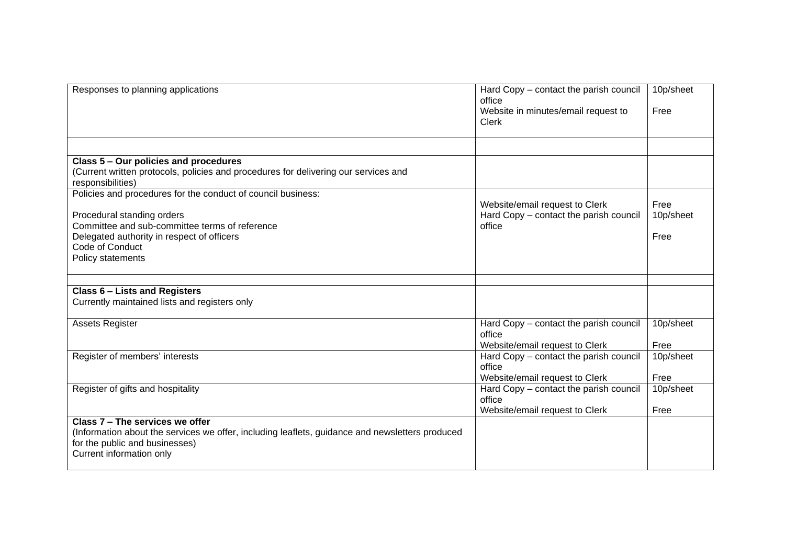| Responses to planning applications                                                                                                                                                                                                 | Hard Copy - contact the parish council<br>office<br>Website in minutes/email request to<br><b>Clerk</b> | 10p/sheet<br>Free         |
|------------------------------------------------------------------------------------------------------------------------------------------------------------------------------------------------------------------------------------|---------------------------------------------------------------------------------------------------------|---------------------------|
|                                                                                                                                                                                                                                    |                                                                                                         |                           |
| Class 5 - Our policies and procedures<br>(Current written protocols, policies and procedures for delivering our services and<br>responsibilities)                                                                                  |                                                                                                         |                           |
| Policies and procedures for the conduct of council business:<br>Procedural standing orders<br>Committee and sub-committee terms of reference<br>Delegated authority in respect of officers<br>Code of Conduct<br>Policy statements | Website/email request to Clerk<br>Hard Copy - contact the parish council<br>office                      | Free<br>10p/sheet<br>Free |
| <b>Class 6 - Lists and Registers</b>                                                                                                                                                                                               |                                                                                                         |                           |
| Currently maintained lists and registers only                                                                                                                                                                                      |                                                                                                         |                           |
| <b>Assets Register</b>                                                                                                                                                                                                             | Hard Copy - contact the parish council<br>office<br>Website/email request to Clerk                      | 10p/sheet<br>Free         |
| Register of members' interests                                                                                                                                                                                                     | Hard Copy - contact the parish council<br>office<br>Website/email request to Clerk                      | 10p/sheet<br>Free         |
| Register of gifts and hospitality                                                                                                                                                                                                  | Hard Copy - contact the parish council<br>office<br>Website/email request to Clerk                      | 10p/sheet<br>Free         |
| Class 7 - The services we offer<br>(Information about the services we offer, including leaflets, guidance and newsletters produced<br>for the public and businesses)<br>Current information only                                   |                                                                                                         |                           |